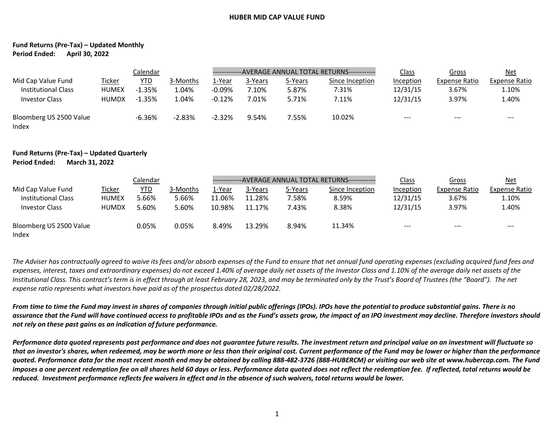## **HUBER MID CAP VALUE FUND**

## **Fund Returns (Pre-Tax) – Updated Monthly Period Ended: April 30, 2022**

|                                                                    | Calendar                               |                             |                            | -------------AVERAGE ANNUAL TOTAL RETURNS------------ |                           |                           |                                   | Class                             | Gross                                  | <u>Net</u>                      |
|--------------------------------------------------------------------|----------------------------------------|-----------------------------|----------------------------|-------------------------------------------------------|---------------------------|---------------------------|-----------------------------------|-----------------------------------|----------------------------------------|---------------------------------|
| Mid Cap Value Fund<br>Institutional Class<br><b>Investor Class</b> | Ticker<br><b>HUMEX</b><br><b>HUMDX</b> | YTD<br>$-1.35%$<br>$-1.35%$ | 3-Months<br>1.04%<br>1.04% | 1-Year<br>$-0.09\%$<br>$-0.12%$                       | 3-Years<br>7.10%<br>7.01% | 5-Years<br>5.87%<br>5.71% | Since Inception<br>7.31%<br>7.11% | Inception<br>12/31/15<br>12/31/15 | <b>Expense Ratio</b><br>3.67%<br>3.97% | Expense Ratio<br>1.10%<br>1.40% |
| Bloomberg US 2500 Value<br>Index                                   |                                        | $-6.36%$                    | $-2.83%$                   | $-2.32%$                                              | 9.54%                     | 7.55%                     | 10.02%                            | $- - -$                           | ---                                    | $- - -$                         |

## **Fund Returns (Pre-Tax) – Updated Quarterly Period Ended: March 31, 2022**

|                                  | Calendar      |            |          |        | --AVERAGE ANNUAL TOTAL RETURNS------------- |         |                 |           | Gross                | <u>Net</u>    |
|----------------------------------|---------------|------------|----------|--------|---------------------------------------------|---------|-----------------|-----------|----------------------|---------------|
| Mid Cap Value Fund               | <u>Ticker</u> | <u>YTD</u> | 3-Months | 1-Year | 3-Years                                     | 5-Years | Since Inception | Inception | <b>Expense Ratio</b> | Expense Ratio |
| Institutional Class              | <b>HUMEX</b>  | 5.66%      | 5.66%    | 11.06% | 11.28%                                      | 7.58%   | 8.59%           | 12/31/15  | 3.67%                | 1.10%         |
| <b>Investor Class</b>            | <b>HUMDX</b>  | 5.60%      | 5.60%    | 10.98% | 11.17%                                      | 7.43%   | 8.38%           | 12/31/15  | 3.97%                | 1.40%         |
| Bloomberg US 2500 Value<br>Index |               | 0.05%      | 0.05%    | 8.49%  | 13.29%                                      | 8.94%   | 11.34%          | $---$     | $- - -$              | $--$          |

*The Adviser has contractually agreed to waive its fees and/or absorb expenses of the Fund to ensure that net annual fund operating expenses (excluding acquired fund fees and*  expenses, interest, taxes and extraordinary expenses) do not exceed 1.40% of average daily net assets of the Investor Class and 1.10% of the average daily net assets of the *Institutional Class. This contract's term is in effect through at least February 28, 2023, and may be terminated only by the Trust's Board of Trustees (the "Board"). The net expense ratio represents what investors have paid as of the prospectus dated 02/28/2022.*

*From time to time the Fund may invest in shares of companies through initial public offerings (IPOs). IPOs have the potential to produce substantial gains. There is no assurance that the Fund will have continued access to profitable IPOs and as the Fund's assets grow, the impact of an IPO investment may decline. Therefore investors should not rely on these past gains as an indication of future performance.*

*Performance data quoted represents past performance and does not guarantee future results. The investment return and principal value on an investment will fluctuate so that an investor's shares, when redeemed, may be worth more or less than their original cost. Current performance of the Fund may be lower or higher than the performance quoted. Performance data for the most recent month end may be obtained by calling 888-482-3726 (888-HUBERCM) or visiting our web site at www.hubercap.com. The Fund imposes a one percent redemption fee on all shares held 60 days or less. Performance data quoted does not reflect the redemption fee. If reflected, total returns would be reduced. Investment performance reflects fee waivers in effect and in the absence of such waivers, total returns would be lower.*